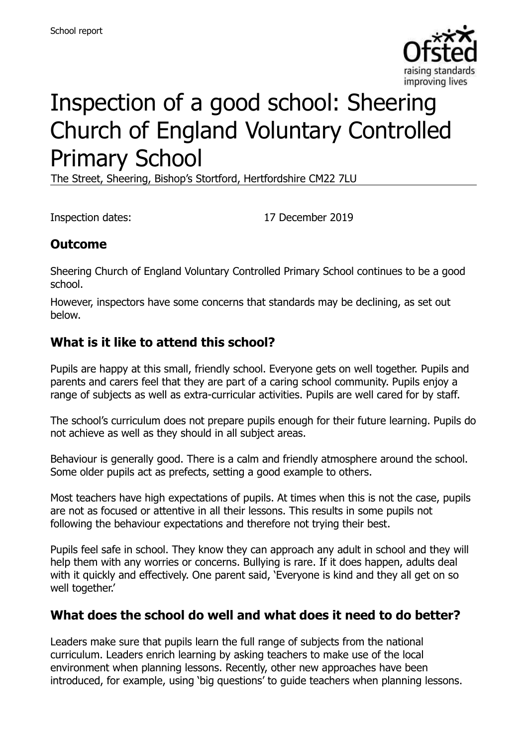

# Inspection of a good school: Sheering Church of England Voluntary Controlled Primary School

The Street, Sheering, Bishop's Stortford, Hertfordshire CM22 7LU

Inspection dates: 17 December 2019

#### **Outcome**

Sheering Church of England Voluntary Controlled Primary School continues to be a good school.

However, inspectors have some concerns that standards may be declining, as set out below.

#### **What is it like to attend this school?**

Pupils are happy at this small, friendly school. Everyone gets on well together. Pupils and parents and carers feel that they are part of a caring school community. Pupils enjoy a range of subjects as well as extra-curricular activities. Pupils are well cared for by staff.

The school's curriculum does not prepare pupils enough for their future learning. Pupils do not achieve as well as they should in all subject areas.

Behaviour is generally good. There is a calm and friendly atmosphere around the school. Some older pupils act as prefects, setting a good example to others.

Most teachers have high expectations of pupils. At times when this is not the case, pupils are not as focused or attentive in all their lessons. This results in some pupils not following the behaviour expectations and therefore not trying their best.

Pupils feel safe in school. They know they can approach any adult in school and they will help them with any worries or concerns. Bullying is rare. If it does happen, adults deal with it quickly and effectively. One parent said, 'Everyone is kind and they all get on so well together.'

#### **What does the school do well and what does it need to do better?**

Leaders make sure that pupils learn the full range of subjects from the national curriculum. Leaders enrich learning by asking teachers to make use of the local environment when planning lessons. Recently, other new approaches have been introduced, for example, using 'big questions' to guide teachers when planning lessons.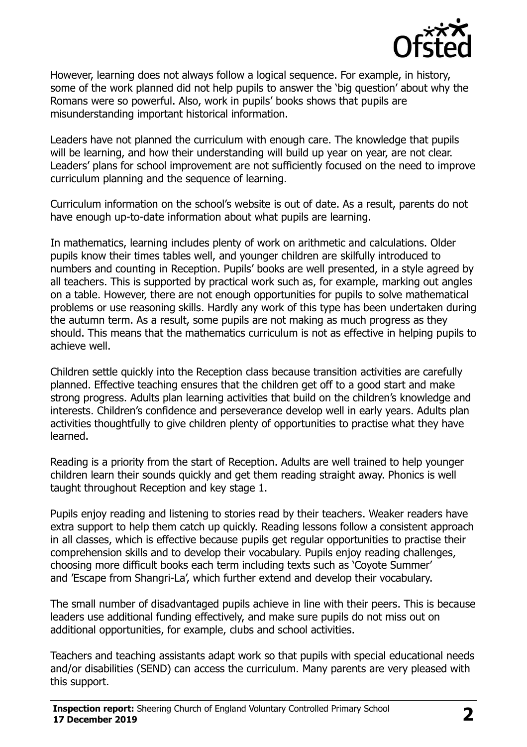

However, learning does not always follow a logical sequence. For example, in history, some of the work planned did not help pupils to answer the 'big question' about why the Romans were so powerful. Also, work in pupils' books shows that pupils are misunderstanding important historical information.

Leaders have not planned the curriculum with enough care. The knowledge that pupils will be learning, and how their understanding will build up year on year, are not clear. Leaders' plans for school improvement are not sufficiently focused on the need to improve curriculum planning and the sequence of learning.

Curriculum information on the school's website is out of date. As a result, parents do not have enough up-to-date information about what pupils are learning.

In mathematics, learning includes plenty of work on arithmetic and calculations. Older pupils know their times tables well, and younger children are skilfully introduced to numbers and counting in Reception. Pupils' books are well presented, in a style agreed by all teachers. This is supported by practical work such as, for example, marking out angles on a table. However, there are not enough opportunities for pupils to solve mathematical problems or use reasoning skills. Hardly any work of this type has been undertaken during the autumn term. As a result, some pupils are not making as much progress as they should. This means that the mathematics curriculum is not as effective in helping pupils to achieve well.

Children settle quickly into the Reception class because transition activities are carefully planned. Effective teaching ensures that the children get off to a good start and make strong progress. Adults plan learning activities that build on the children's knowledge and interests. Children's confidence and perseverance develop well in early years. Adults plan activities thoughtfully to give children plenty of opportunities to practise what they have learned.

Reading is a priority from the start of Reception. Adults are well trained to help younger children learn their sounds quickly and get them reading straight away. Phonics is well taught throughout Reception and key stage 1.

Pupils enjoy reading and listening to stories read by their teachers. Weaker readers have extra support to help them catch up quickly. Reading lessons follow a consistent approach in all classes, which is effective because pupils get regular opportunities to practise their comprehension skills and to develop their vocabulary. Pupils enjoy reading challenges, choosing more difficult books each term including texts such as 'Coyote Summer' and 'Escape from Shangri-La', which further extend and develop their vocabulary.

The small number of disadvantaged pupils achieve in line with their peers. This is because leaders use additional funding effectively, and make sure pupils do not miss out on additional opportunities, for example, clubs and school activities.

Teachers and teaching assistants adapt work so that pupils with special educational needs and/or disabilities (SEND) can access the curriculum. Many parents are very pleased with this support.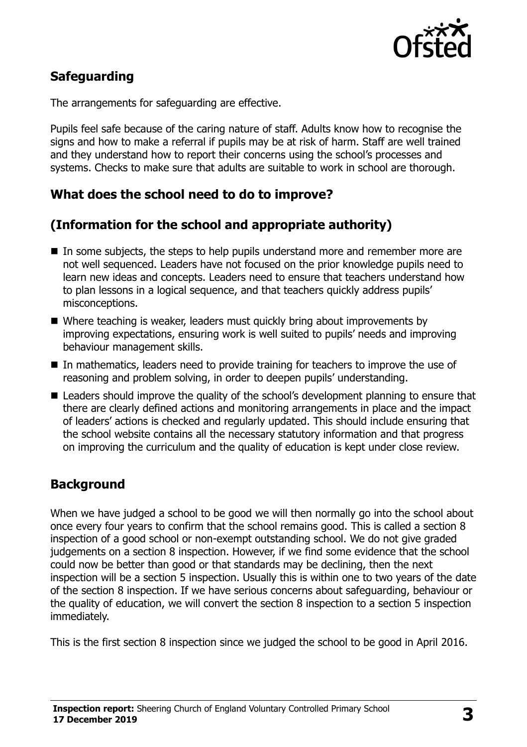

# **Safeguarding**

The arrangements for safeguarding are effective.

Pupils feel safe because of the caring nature of staff. Adults know how to recognise the signs and how to make a referral if pupils may be at risk of harm. Staff are well trained and they understand how to report their concerns using the school's processes and systems. Checks to make sure that adults are suitable to work in school are thorough.

## **What does the school need to do to improve?**

## **(Information for the school and appropriate authority)**

- In some subjects, the steps to help pupils understand more and remember more are not well sequenced. Leaders have not focused on the prior knowledge pupils need to learn new ideas and concepts. Leaders need to ensure that teachers understand how to plan lessons in a logical sequence, and that teachers quickly address pupils' misconceptions.
- Where teaching is weaker, leaders must quickly bring about improvements by improving expectations, ensuring work is well suited to pupils' needs and improving behaviour management skills.
- In mathematics, leaders need to provide training for teachers to improve the use of reasoning and problem solving, in order to deepen pupils' understanding.
- Leaders should improve the quality of the school's development planning to ensure that there are clearly defined actions and monitoring arrangements in place and the impact of leaders' actions is checked and regularly updated. This should include ensuring that the school website contains all the necessary statutory information and that progress on improving the curriculum and the quality of education is kept under close review.

## **Background**

When we have judged a school to be good we will then normally go into the school about once every four years to confirm that the school remains good. This is called a section 8 inspection of a good school or non-exempt outstanding school. We do not give graded judgements on a section 8 inspection. However, if we find some evidence that the school could now be better than good or that standards may be declining, then the next inspection will be a section 5 inspection. Usually this is within one to two years of the date of the section 8 inspection. If we have serious concerns about safeguarding, behaviour or the quality of education, we will convert the section 8 inspection to a section 5 inspection immediately.

This is the first section 8 inspection since we judged the school to be good in April 2016.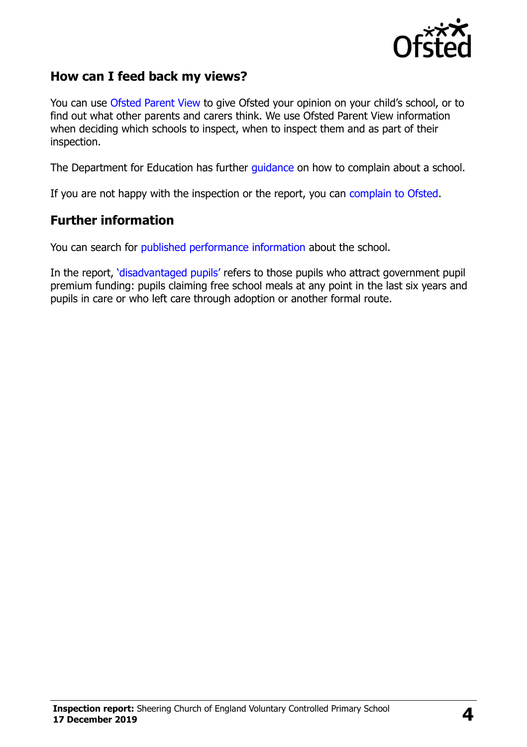

#### **How can I feed back my views?**

You can use [Ofsted Parent View](https://parentview.ofsted.gov.uk/) to give Ofsted your opinion on your child's school, or to find out what other parents and carers think. We use Ofsted Parent View information when deciding which schools to inspect, when to inspect them and as part of their inspection.

The Department for Education has further [guidance](http://www.gov.uk/complain-about-school) on how to complain about a school.

If you are not happy with the inspection or the report, you can [complain to Ofsted.](https://www.gov.uk/complain-ofsted-report)

#### **Further information**

You can search for [published performance information](http://www.compare-school-performance.service.gov.uk/) about the school.

In the report, '[disadvantaged pupils](http://www.gov.uk/guidance/pupil-premium-information-for-schools-and-alternative-provision-settings)' refers to those pupils who attract government pupil premium funding: pupils claiming free school meals at any point in the last six years and pupils in care or who left care through adoption or another formal route.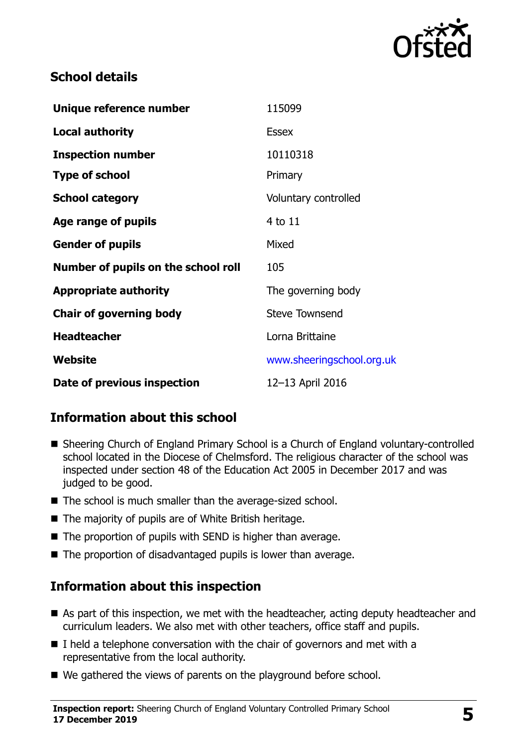

#### **School details**

| Unique reference number             | 115099                    |
|-------------------------------------|---------------------------|
| <b>Local authority</b>              | <b>Essex</b>              |
| <b>Inspection number</b>            | 10110318                  |
| <b>Type of school</b>               | Primary                   |
| <b>School category</b>              | Voluntary controlled      |
| Age range of pupils                 | 4 to 11                   |
| <b>Gender of pupils</b>             | Mixed                     |
| Number of pupils on the school roll | 105                       |
| <b>Appropriate authority</b>        | The governing body        |
| <b>Chair of governing body</b>      | <b>Steve Townsend</b>     |
| <b>Headteacher</b>                  | Lorna Brittaine           |
| <b>Website</b>                      | www.sheeringschool.org.uk |
| Date of previous inspection         | 12-13 April 2016          |

## **Information about this school**

- Sheering Church of England Primary School is a Church of England voluntary-controlled school located in the Diocese of Chelmsford. The religious character of the school was inspected under section 48 of the Education Act 2005 in December 2017 and was judged to be good.
- The school is much smaller than the average-sized school.
- The majority of pupils are of White British heritage.
- The proportion of pupils with SEND is higher than average.
- The proportion of disadvantaged pupils is lower than average.

#### **Information about this inspection**

- As part of this inspection, we met with the headteacher, acting deputy headteacher and curriculum leaders. We also met with other teachers, office staff and pupils.
- $\blacksquare$  I held a telephone conversation with the chair of governors and met with a representative from the local authority.
- We gathered the views of parents on the playground before school.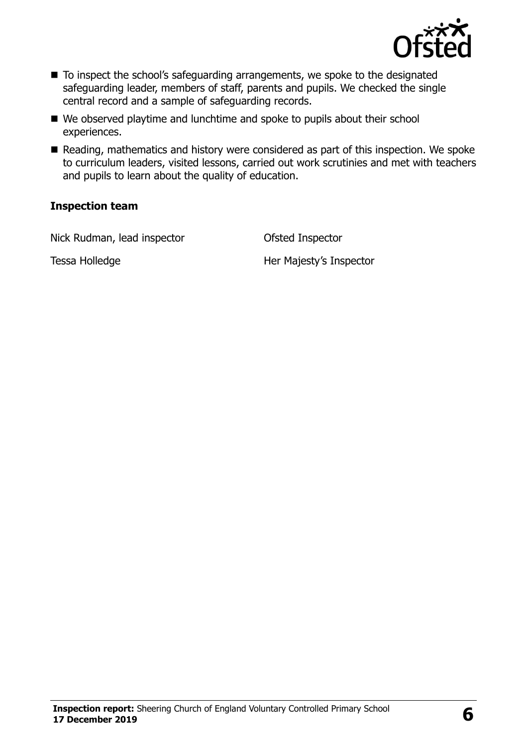

- To inspect the school's safeguarding arrangements, we spoke to the designated safeguarding leader, members of staff, parents and pupils. We checked the single central record and a sample of safeguarding records.
- We observed playtime and lunchtime and spoke to pupils about their school experiences.
- Reading, mathematics and history were considered as part of this inspection. We spoke to curriculum leaders, visited lessons, carried out work scrutinies and met with teachers and pupils to learn about the quality of education.

#### **Inspection team**

Nick Rudman, lead inspector **Ofsted Inspector** 

Tessa Holledge **Her Majesty's Inspector**